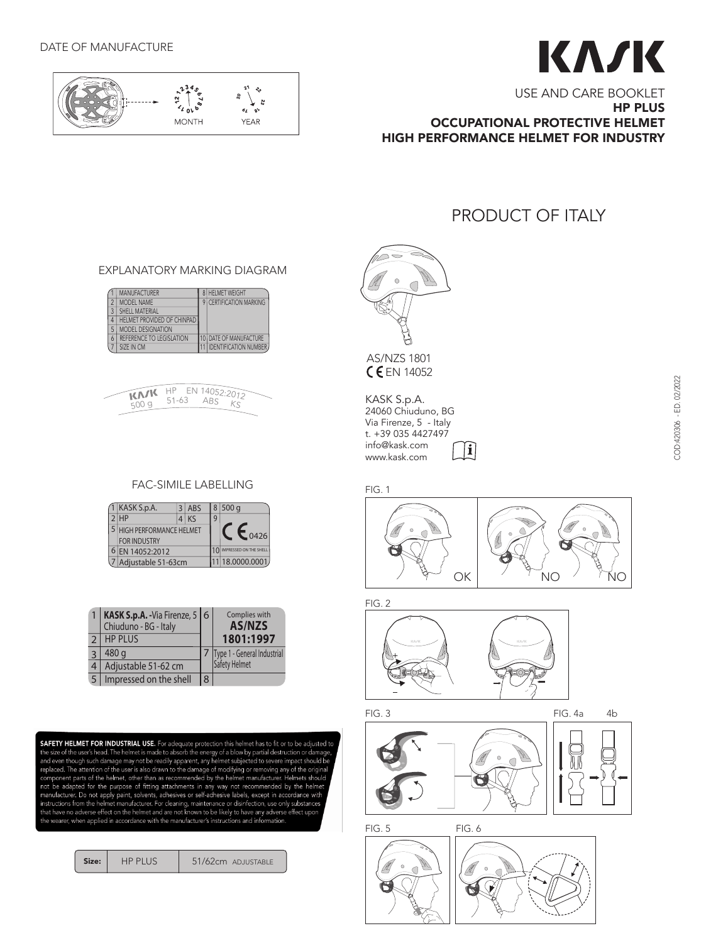

# KA/K

USE AND CARE BOOKLET HP PLUS OCCUPATIONAL PROTECTIVE HELMET HIGH PERFORMANCE HELMET FOR INDUSTRY

## PRODUCT OF ITALY

#### EXPLANATORY MARKING DIAGRAM EXPLANATORY MARKING DIAGRAM

|   | <b>MANUFACTURER</b>        | <b>HELMET WEIGHT</b>         |
|---|----------------------------|------------------------------|
|   | <b>MODEL NAME</b>          | 9 CERTIFICATION MARKING      |
|   | SHELL MATERIAL             |                              |
|   | HELMET PROVIDED OF CHINPAD |                              |
|   | MODEL DESIGNATION          |                              |
| 6 | REFERENCE TO LEGISLATION   | IO DATE OF MANUFACTURE       |
|   | SIZE IN CM                 | <b>IDENTIFICATION NUMBER</b> |



# FAC-SIMILE LABELLING

| 1 KASK S.p.A.                                    |  | $3$ ABS |                | 8 500q                 |
|--------------------------------------------------|--|---------|----------------|------------------------|
| $2$ $HP$                                         |  | $4$ KS  | 9              |                        |
| 5 HIGH PERFORMANCE HELMET<br><b>FOR INDUSTRY</b> |  |         |                | $\sim 0426$            |
| EN 14052:2012                                    |  |         |                | IMPRESSED ON THE SHELL |
| Adjustable 51-63cm                               |  |         | 1 18.0000.0001 |                        |

|   | KASK S.p.A. - Via Firenze, 5 6<br>Chiuduno - BG - Italy |   | Complies with<br><b>AS/NZS</b> |  |
|---|---------------------------------------------------------|---|--------------------------------|--|
|   | <b>HP PLUS</b>                                          |   | 1801:1997                      |  |
|   | 480 g                                                   |   | Type 1 - General Industrial    |  |
| 4 | Adjustable 51-62 cm                                     |   | Safety Helmet                  |  |
|   | Impressed on the shell                                  | 8 |                                |  |

**SAFETY HELMET FOR INDUSTRIAL USE.** For adequate protection this helmet has to fit or to be adjusted to the size of the user's head. The helmet is made to absorb the energy of a blow by partial destruction or damage, and e

Size: | HP PLUS | 51/62cm ADJUSTABLE



**CEN 14052** AS/NZS 1801

KASK S.p.A. 24060 Chiuduno, BG z4060 Cniuduno, BG<br>Via Firenze, 5 - Italy t. +39 035 4427497 info@kask.com  $\bf \widehat{ii}$ www.kask.com



FIG. 2



FIG. 3

FIG. 4a 4b